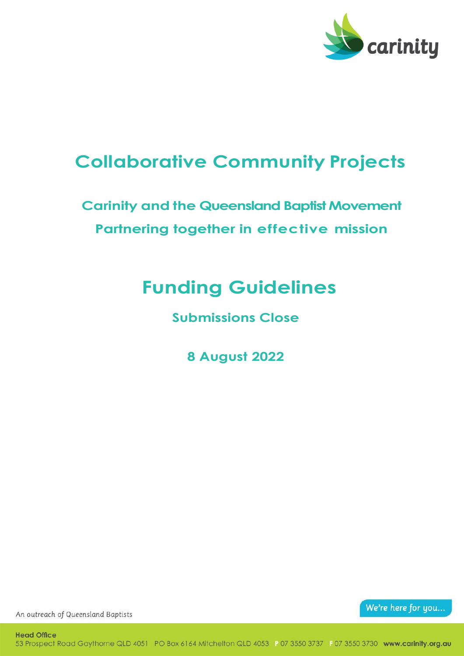

## **Collaborative Community Projects**

## **Carinity and the Queensland Baptist Movement Partnering together in effective mission**

# **Funding Guidelines**

**Submissions Close** 

**8 August 2022**

We're here for you...

An outreach of Queensland Baptists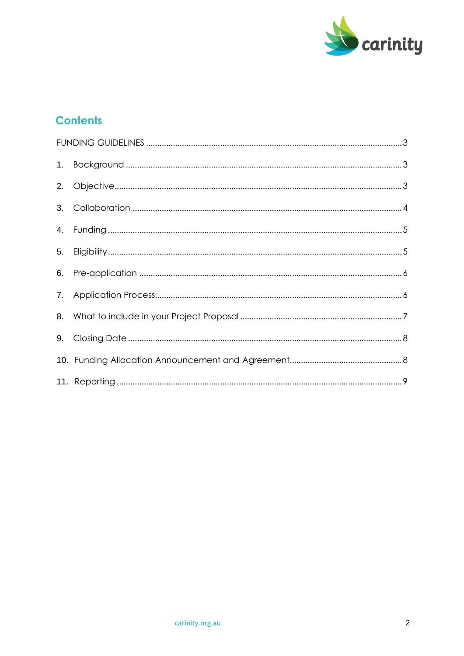

### **Contents**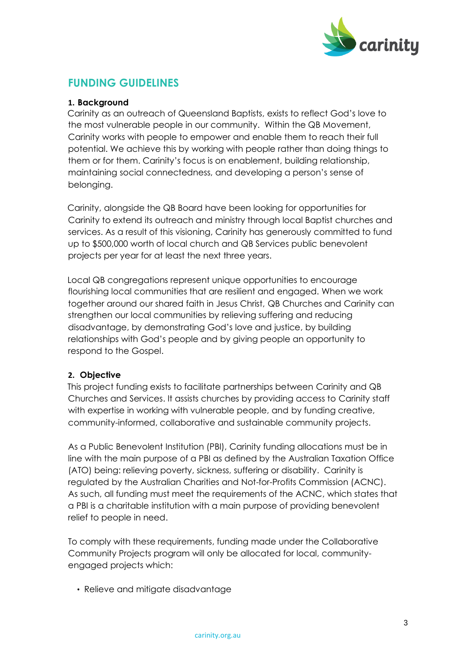

### <span id="page-2-0"></span>**FUNDING GUIDELINES**

#### <span id="page-2-1"></span>**1. Background**

Carinity as an outreach of Queensland Baptists, exists to reflect God's love to the most vulnerable people in our community. Within the QB Movement, Carinity works with people to empower and enable them to reach their full potential. We achieve this by working with people rather than doing things to them or for them. Carinity's focus is on enablement, building relationship, maintaining social connectedness, and developing a person's sense of belonging.

Carinity, alongside the QB Board have been looking for opportunities for Carinity to extend its outreach and ministry through local Baptist churches and services. As a result of this visioning, Carinity has generously committed to fund up to \$500,000 worth of local church and QB Services public benevolent projects per year for at least the next three years.

Local QB congregations represent unique opportunities to encourage flourishing local communities that are resilient and engaged. When we work together around our shared faith in Jesus Christ, QB Churches and Carinity can strengthen our local communities by relieving suffering and reducing disadvantage, by demonstrating God's love and justice, by building relationships with God's people and by giving people an opportunity to respond to the Gospel.

#### <span id="page-2-2"></span>**2. Objective**

This project funding exists to facilitate partnerships between Carinity and QB Churches and Services. It assists churches by providing access to Carinity staff with expertise in working with vulnerable people, and by funding creative, community-informed, collaborative and sustainable community projects.

As a Public Benevolent Institution (PBI), Carinity funding allocations must be in line with the main purpose of a PBI as defined by the Australian Taxation Office (ATO) being: relieving poverty, sickness, suffering or disability. Carinity is regulated by the Australian Charities and Not-for-Profits Commission (ACNC). As such, all funding must meet the requirements of the ACNC, which states that a PBI is a charitable institution with a main purpose of providing benevolent relief to people in need.

To comply with these requirements, funding made under the Collaborative Community Projects program will only be allocated for local, communityengaged projects which:

• Relieve and mitigate disadvantage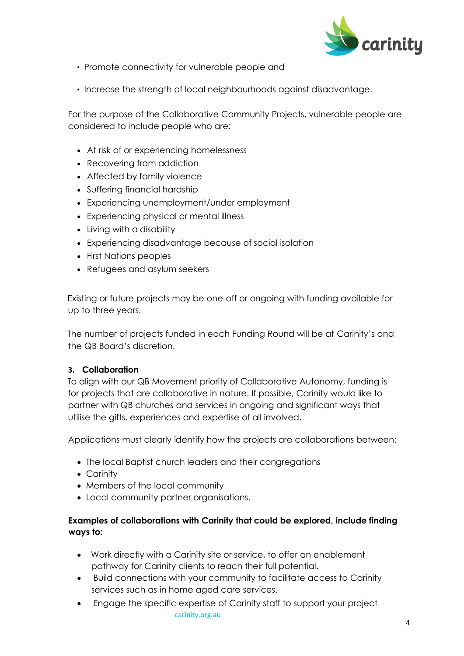

- Promote connectivity for vulnerable people and
- Increase the strength of local neighbourhoods against disadvantage.

For the purpose of the Collaborative Community Projects, vulnerable people are considered to include people who are:

- At risk of or experiencing homelessness
- Recovering from addiction
- Affected by family violence
- Suffering financial hardship
- Experiencing unemployment/under employment
- Experiencing physical or mental illness
- Living with a disability
- Experiencing disadvantage because of social isolation
- First Nations peoples
- Refugees and asylum seekers

Existing or future projects may be one-off or ongoing with funding available for up to three years.

The number of projects funded in each Funding Round will be at Carinity's and the QB Board's discretion.

#### <span id="page-3-0"></span>**3. Collaboration**

To align with our QB Movement priority of Collaborative Autonomy, funding is for projects that are collaborative in nature. If possible, Carinity would like to partner with QB churches and services in ongoing and significant ways that utilise the gifts, experiences and expertise of all involved.

Applications must clearly identify how the projects are collaborations between:

- The local Baptist church leaders and their congregations
- Carinity
- Members of the local community
- Local community partner organisations.

#### **Examples of collaborations with Carinity that could be explored, include finding ways to:**

- Work directly with a Carinity site or service, to offer an enablement pathway for Carinity clients to reach their full potential.
- Build connections with your community to facilitate access to Carinity services such as in home aged care services.
- carinity.org.au • Engage the specific expertise of Carinity staff to support your project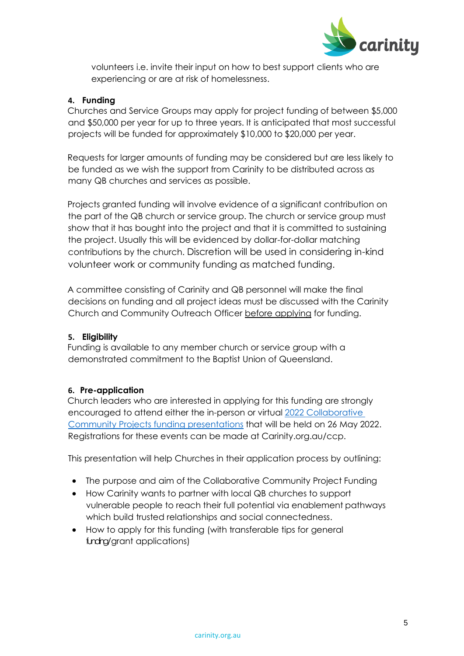

volunteers i.e. invite their input on how to best support clients who are experiencing or are at risk of homelessness.

#### <span id="page-4-0"></span>**4. Funding**

Churches and Service Groups may apply for project funding of between \$5,000 and \$50,000 per year for up to three years. It is anticipated that most successful projects will be funded for approximately \$10,000 to \$20,000 per year.

Requests for larger amounts of funding may be considered but are less likely to be funded as we wish the support from Carinity to be distributed across as many QB churches and services as possible.

Projects granted funding will involve evidence of a significant contribution on the part of the QB church or service group. The church or service group must show that it has bought into the project and that it is committed to sustaining the project. Usually this will be evidenced by dollar-for-dollar matching contributions by the church. Discretion will be used in considering in-kind volunteer work or community funding as matched funding.

A committee consisting of Carinity and QB personnel will make the final decisions on funding and all project ideas must be discussed with the Carinity Church and Community Outreach Officer before applying for funding.

#### <span id="page-4-1"></span>**5. Eligibility**

Funding is available to any member church or service group with a demonstrated commitment to the Baptist Union of Queensland.

#### <span id="page-4-2"></span>**6. Pre-application**

Church leaders who are interested in applying for this funding are strongly encouraged to attend either the in-person or virtual 2022 [Collaborative](https://carinity.org.au/collaborative-community-projects/)  Community Projects [funding presentations](https://carinity.org.au/collaborative-community-projects/) that will be held on 26 May 2022. Registrations for these events can be made at Carinity.org.au/ccp.

This presentation will help Churches in their application process by outlining:

- The purpose and aim of the Collaborative Community Project Funding
- How Carinity wants to partner with local QB churches to support vulnerable people to reach their full potential via enablement pathways which build trusted relationships and social connectedness.
- How to apply for this funding (with transferable tips for general funding/grant applications)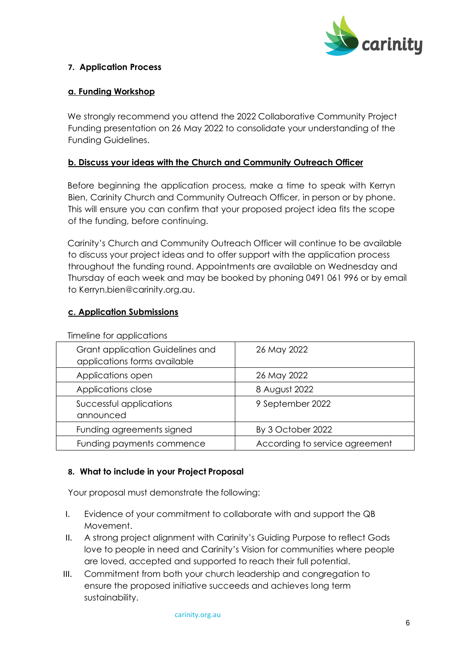

#### <span id="page-5-0"></span>**7. Application Process**

#### **a. Funding Workshop**

We strongly recommend you attend the 2022 Collaborative Community Project Funding presentation on 26 May 2022 to consolidate your understanding of the Funding Guidelines.

#### **b. Discuss your ideas with the Church and Community Outreach Officer**

Before beginning the application process, make a time to speak with Kerryn Bien, Carinity Church and Community Outreach Officer, in person or by phone. This will ensure you can confirm that your proposed project idea fits the scope of the funding, before continuing.

Carinity's Church and Community Outreach Officer will continue to be available to discuss your project ideas and to offer support with the application process throughout the funding round. Appointments are available on Wednesday and Thursday of each week and may be booked by phoning 0491 061 996 or by email to Kerryn.bien@carinity.org.au.

#### **c. Application Submissions**

| Grant application Guidelines and<br>applications forms available | 26 May 2022                    |
|------------------------------------------------------------------|--------------------------------|
| Applications open                                                | 26 May 2022                    |
| Applications close                                               | 8 August 2022                  |
| Successful applications<br>announced                             | 9 September 2022               |
| Funding agreements signed                                        | By 3 October 2022              |
| Funding payments commence                                        | According to service agreement |

Timeline for applications

#### <span id="page-5-1"></span>**8. What to include in your Project Proposal**

Your proposal must demonstrate the following:

- I. Evidence of your commitment to collaborate with and support the QB Movement.
- II. A strong project alignment with Carinity's Guiding Purpose to reflect Gods love to people in need and Carinity's Vision for communities where people are loved, accepted and supported to reach their full potential.
- III. Commitment from both your church leadership and congregation to ensure the proposed initiative succeeds and achieves long term sustainability.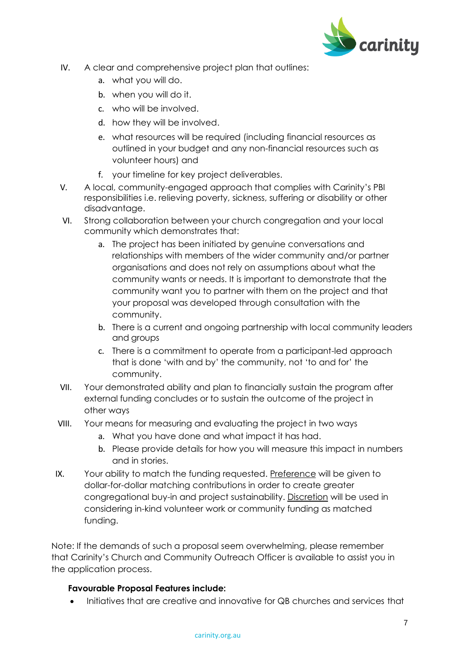

- IV. A clear and comprehensive project plan that outlines:
	- a. what you will do.
	- b. when you will do it.
	- c. who will be involved.
	- d. how they will be involved.
	- e. what resources will be required (including financial resources as outlined in your budget and any non-financial resources such as volunteer hours) and
	- f. your timeline for key project deliverables.
- V. A local, community-engaged approach that complies with Carinity's PBI responsibilities i.e. relieving poverty, sickness, suffering or disability or other disadvantage.
- VI. Strong collaboration between your church congregation and your local community which demonstrates that:
	- a. The project has been initiated by genuine conversations and relationships with members of the wider community and/or partner organisations and does not rely on assumptions about what the community wants or needs. It is important to demonstrate that the community want you to partner with them on the project and that your proposal was developed through consultation with the community.
	- b. There is a current and ongoing partnership with local community leaders and groups
	- c. There is a commitment to operate from a participant-led approach that is done 'with and by' the community, not 'to and for' the community.
- VII. Your demonstrated ability and plan to financially sustain the program after external funding concludes or to sustain the outcome of the project in other ways
- VIII. Your means for measuring and evaluating the project in two ways
	- a. What you have done and what impact it has had.
	- b. Please provide details for how you will measure this impact in numbers and in stories.
- IX. Your ability to match the funding requested. Preference will be given to dollar-for-dollar matching contributions in order to create greater congregational buy-in and project sustainability. Discretion will be used in considering in-kind volunteer work or community funding as matched funding.

Note: If the demands of such a proposal seem overwhelming, please remember that Carinity's Church and Community Outreach Officer is available to assist you in the application process.

#### **Favourable Proposal Features include:**

• Initiatives that are creative and innovative for QB churches and services that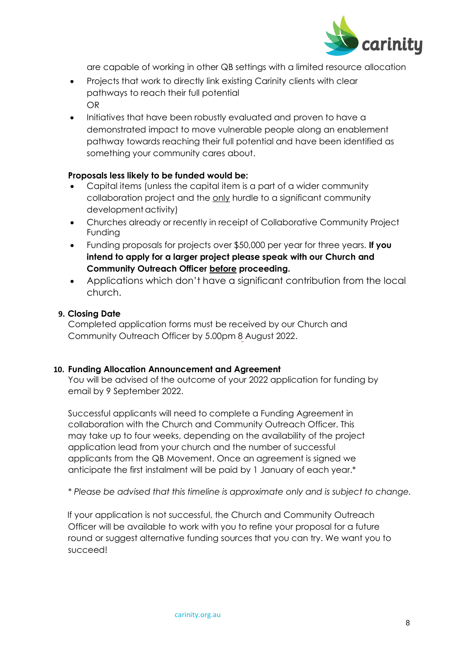

are capable of working in other QB settings with a limited resource allocation

- Projects that work to directly link existing Carinity clients with clear pathways to reach their full potential OR
- Initiatives that have been robustly evaluated and proven to have a demonstrated impact to move vulnerable people along an enablement pathway towards reaching their full potential and have been identified as something your community cares about.

#### **Proposals less likely to be funded would be:**

- Capital items (unless the capital item is a part of a wider community collaboration project and the only hurdle to a significant community development activity)
- Churches already or recently in receipt of Collaborative Community Project Funding
- Funding proposals for projects over \$50,000 per year for three years. **If you intend to apply for a larger project please speak with our Church and Community Outreach Officer before proceeding.**
- Applications which don't have a significant contribution from the local church.

#### <span id="page-7-0"></span>**9. Closing Date**

Completed application forms must be received by our Church and Community Outreach Officer by 5.00pm 8 August 2022.

#### <span id="page-7-1"></span>**10. Funding Allocation Announcement and Agreement**

You will be advised of the outcome of your 2022 application for funding by email by 9 September 2022.

Successful applicants will need to complete a Funding Agreement in collaboration with the Church and Community Outreach Officer. This may take up to four weeks, depending on the availability of the project application lead from your church and the number of successful applicants from the QB Movement. Once an agreement is signed we anticipate the first instalment will be paid by 1 January of each year.\*

*\* Please be advised that this timeline is approximate only and is subject to change.*

If your application is not successful, the Church and Community Outreach Officer will be available to work with you to refine your proposal for a future round or suggest alternative funding sources that you can try. We want you to succeed!